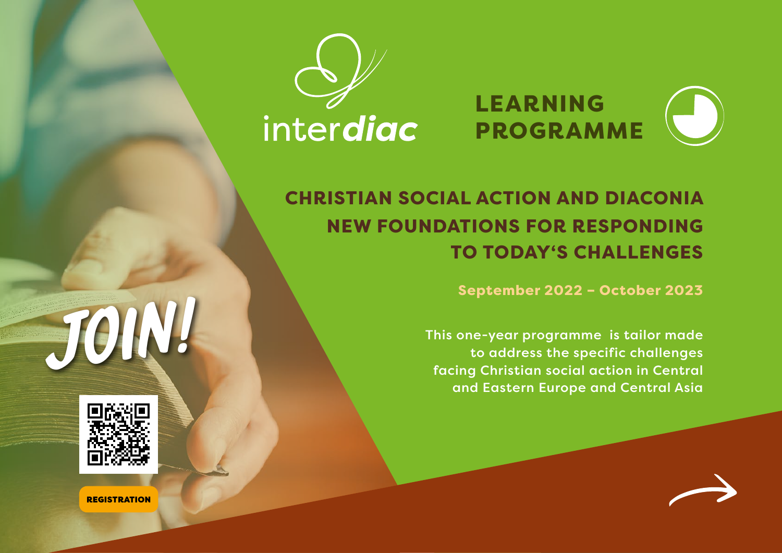



# CHRISTIAN SOCIAL ACTION AND DIACONIA NEW FOUNDATIONS FOR RESPONDING TO TODAY'S CHALLENGES

September 2022 – October 2023

This one-year programme is tailor made to address the specific challenges facing Christian social action in Central and Eastern Europe and Central Asia





**REGISTRATION**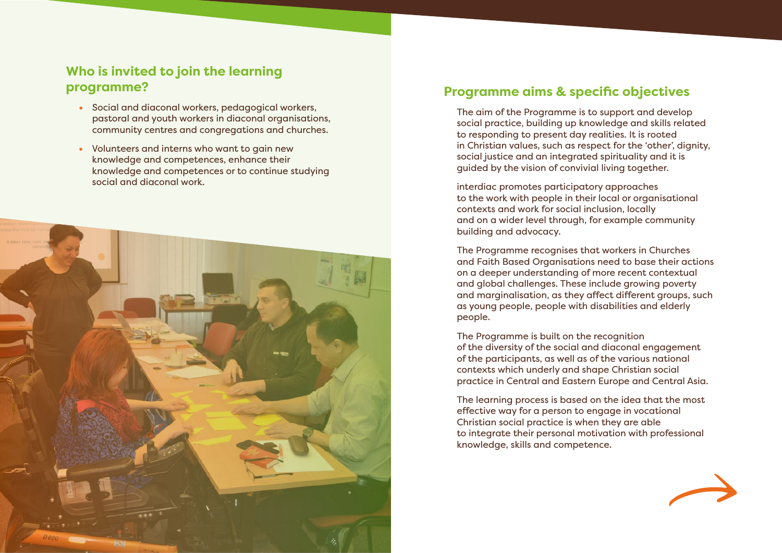# **Who is invited to join the learning programme?**

- Social and diaconal workers, pedagogical workers, pastoral and youth workers in diaconal organisations, community centres and congregations and churches.
- Volunteers and interns who want to gain new knowledge and competences, enhance their knowledge and competences or to continue studying social and diaconal work.



# **Programme aims & specific objectives**

The aim of the Programme is to support and develop social practice, building up knowledge and skills related to responding to present day realities. It is rooted in Christian values, such as respect for the 'other', dignity, social justice and an integrated spirituality and it is guided by the vision of convivial living together.

interdiac promotes participatory approaches to the work with people in their local or organisational contexts and work for social inclusion, locally and on a wider level through, for example community building and advocacy.

The Programme recognises that workers in Churches and Faith Based Organisations need to base their actions on a deeper understanding of more recent contextual and global challenges. These include growing poverty and marginalisation, as they affect different groups, such as young people, people with disabilities and elderly people.

The Programme is built on the recognition of the diversity of the social and diaconal engagement of the participants, as well as of the various national contexts which underly and shape Christian social practice in Central and Eastern Europe and Central Asia.

The learning process is based on the idea that the most effective way for a person to engage in vocational Christian social practice is when they are able to integrate their personal motivation with professional knowledge, skills and competence.